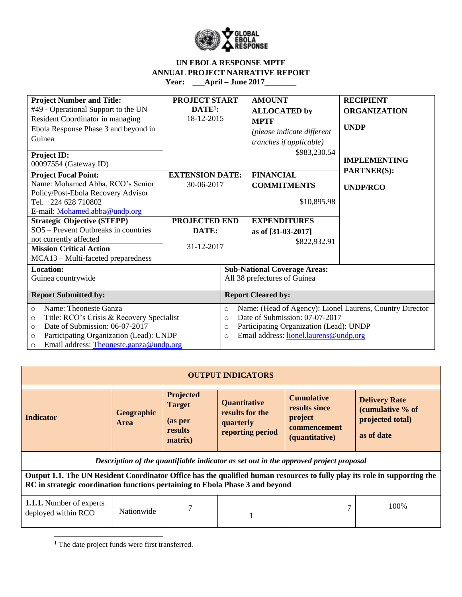

| <b>Project Number and Title:</b><br>#49 - Operational Support to the UN<br>Resident Coordinator in managing<br>Ebola Response Phase 3 and beyond in<br>Guinea<br>Project ID:<br>00097554 (Gateway ID)                                                                                                                                          | <b>PROJECT START</b><br>$DATE1$ :<br>18-12-2015                                     |                                                                                                                                                                                                                              | <b>AMOUNT</b><br><b>ALLOCATED</b> by<br><b>MPTF</b><br>(please indicate different<br>tranches if applicable)<br>\$983,230.54 | <b>RECIPIENT</b><br><b>ORGANIZATION</b><br><b>UNDP</b><br><b>IMPLEMENTING</b> |  |
|------------------------------------------------------------------------------------------------------------------------------------------------------------------------------------------------------------------------------------------------------------------------------------------------------------------------------------------------|-------------------------------------------------------------------------------------|------------------------------------------------------------------------------------------------------------------------------------------------------------------------------------------------------------------------------|------------------------------------------------------------------------------------------------------------------------------|-------------------------------------------------------------------------------|--|
| <b>Project Focal Point:</b><br>Name: Mohamed Abba, RCO's Senior<br>Policy/Post-Ebola Recovery Advisor<br>Tel. +224 628 710802<br>E-mail: Mohamed.abba@undp.org<br><b>Strategic Objective (STEPP)</b><br>SO5 - Prevent Outbreaks in countries<br>not currently affected<br><b>Mission Critical Action</b><br>MCA13 – Multi-faceted preparedness | <b>EXTENSION DATE:</b><br>30-06-2017<br><b>PROJECTED END</b><br>DATE:<br>31-12-2017 |                                                                                                                                                                                                                              | <b>FINANCIAL</b><br><b>COMMITMENTS</b><br>\$10,895.98<br><b>EXPENDITURES</b><br>as of [31-03-2017]<br>\$822,932.91           | <b>PARTNER(S):</b><br><b>UNDP/RCO</b>                                         |  |
| <b>Location:</b><br>Guinea countrywide<br><b>Report Submitted by:</b>                                                                                                                                                                                                                                                                          |                                                                                     |                                                                                                                                                                                                                              | <b>Sub-National Coverage Areas:</b><br>All 38 prefectures of Guinea<br><b>Report Cleared by:</b>                             |                                                                               |  |
| Name: Theoneste Ganza<br>$\circ$<br>Title: RCO's Crisis & Recovery Specialist<br>$\circ$<br>Date of Submission: 06-07-2017<br>$\circ$<br>Participating Organization (Lead): UNDP<br>$\circ$<br>Email address: Theoneste.ganza@undp.org<br>$\circ$                                                                                              |                                                                                     | Name: (Head of Agency): Lionel Laurens, Country Director<br>$\circ$<br>Date of Submission: 07-07-2017<br>$\Omega$<br>Participating Organization (Lead): UNDP<br>$\circ$<br>Email address: lionel.laurens@undp.org<br>$\circ$ |                                                                                                                              |                                                                               |  |

|                                                                                                                                                                                                            |                           |                                                             | <b>OUTPUT INDICATORS</b>                                                |                                                                                       |                                                                            |
|------------------------------------------------------------------------------------------------------------------------------------------------------------------------------------------------------------|---------------------------|-------------------------------------------------------------|-------------------------------------------------------------------------|---------------------------------------------------------------------------------------|----------------------------------------------------------------------------|
| <b>Indicator</b>                                                                                                                                                                                           | Geographic<br><b>Area</b> | Projected<br><b>Target</b><br>(as per<br>results<br>matrix) | <b>Quantitative</b><br>results for the<br>quarterly<br>reporting period | <b>Cumulative</b><br>results since<br>project<br>commencement<br>(quantitative)       | <b>Delivery Rate</b><br>(cumulative % of<br>projected total)<br>as of date |
|                                                                                                                                                                                                            |                           |                                                             |                                                                         | Description of the quantifiable indicator as set out in the approved project proposal |                                                                            |
| Output 1.1. The UN Resident Coordinator Office has the qualified human resources to fully play its role in supporting the<br>RC in strategic coordination functions pertaining to Ebola Phase 3 and beyond |                           |                                                             |                                                                         |                                                                                       |                                                                            |
| <b>1.1.1.</b> Number of experts<br>deployed within RCO                                                                                                                                                     | Nationwide                |                                                             |                                                                         |                                                                                       | 100\%                                                                      |

<sup>1</sup> The date project funds were first transferred.

 $\overline{\phantom{a}}$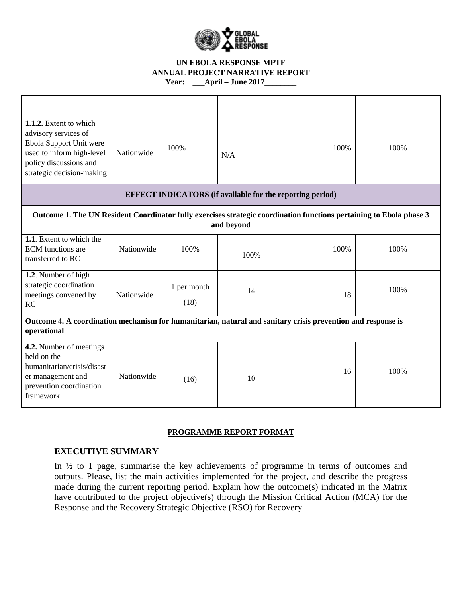

| 1.1.2. Extent to which<br>advisory services of<br>Ebola Support Unit were<br>used to inform high-level<br>policy discussions and<br>strategic decision-making | Nationwide | 100%                | N/A                                                              | 100% | 100% |
|---------------------------------------------------------------------------------------------------------------------------------------------------------------|------------|---------------------|------------------------------------------------------------------|------|------|
|                                                                                                                                                               |            |                     | <b>EFFECT INDICATORS</b> (if available for the reporting period) |      |      |
| Outcome 1. The UN Resident Coordinator fully exercises strategic coordination functions pertaining to Ebola phase 3                                           |            |                     | and beyond                                                       |      |      |
| 1.1. Extent to which the<br><b>ECM</b> functions are<br>transferred to RC                                                                                     | Nationwide | 100%                | 100%                                                             | 100% | 100% |
| 1.2. Number of high<br>strategic coordination<br>meetings convened by<br>RC                                                                                   | Nationwide | 1 per month<br>(18) | 14                                                               | 18   | 100% |
| Outcome 4. A coordination mechanism for humanitarian, natural and sanitary crisis prevention and response is<br>operational                                   |            |                     |                                                                  |      |      |
| 4.2. Number of meetings<br>held on the<br>humanitarian/crisis/disast<br>er management and<br>prevention coordination<br>framework                             | Nationwide | (16)                | 10                                                               | 16   | 100% |

### **PROGRAMME REPORT FORMAT**

# **EXECUTIVE SUMMARY**

In ½ to 1 page, summarise the key achievements of programme in terms of outcomes and outputs. Please, list the main activities implemented for the project, and describe the progress made during the current reporting period. Explain how the outcome(s) indicated in the Matrix have contributed to the project objective(s) through the Mission Critical Action (MCA) for the Response and the Recovery Strategic Objective (RSO) for Recovery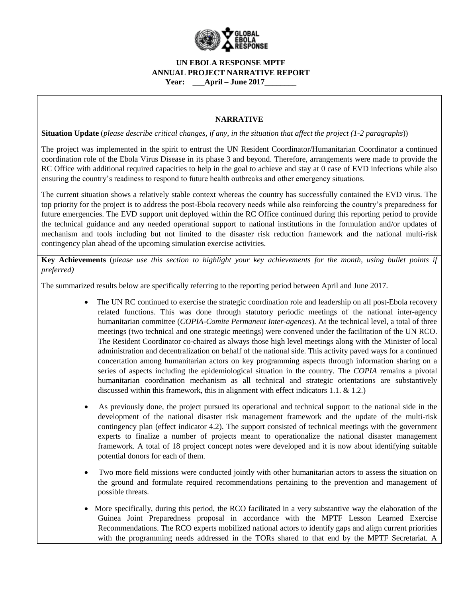

## **NARRATIVE**

**Situation Update** (*please describe critical changes, if any, in the situation that affect the project (1-2 paragraphs*))

The project was implemented in the spirit to entrust the UN Resident Coordinator/Humanitarian Coordinator a continued coordination role of the Ebola Virus Disease in its phase 3 and beyond. Therefore, arrangements were made to provide the RC Office with additional required capacities to help in the goal to achieve and stay at 0 case of EVD infections while also ensuring the country's readiness to respond to future health outbreaks and other emergency situations.

The current situation shows a relatively stable context whereas the country has successfully contained the EVD virus. The top priority for the project is to address the post-Ebola recovery needs while also reinforcing the country's preparedness for future emergencies. The EVD support unit deployed within the RC Office continued during this reporting period to provide the technical guidance and any needed operational support to national institutions in the formulation and/or updates of mechanism and tools including but not limited to the disaster risk reduction framework and the national multi-risk contingency plan ahead of the upcoming simulation exercise activities.

**Key Achievements** (*please use this section to highlight your key achievements for the month, using bullet points if preferred)*

The summarized results below are specifically referring to the reporting period between April and June 2017.

- The UN RC continued to exercise the strategic coordination role and leadership on all post-Ebola recovery related functions. This was done through statutory periodic meetings of the national inter-agency humanitarian committee (*COPIA-Comite Permanent Inter-agences*). At the technical level, a total of three meetings (two technical and one strategic meetings) were convened under the facilitation of the UN RCO. The Resident Coordinator co-chaired as always those high level meetings along with the Minister of local administration and decentralization on behalf of the national side. This activity paved ways for a continued concertation among humanitarian actors on key programming aspects through information sharing on a series of aspects including the epidemiological situation in the country. The *COPIA* remains a pivotal humanitarian coordination mechanism as all technical and strategic orientations are substantively discussed within this framework, this in alignment with effect indicators 1.1. & 1.2.)
- As previously done, the project pursued its operational and technical support to the national side in the development of the national disaster risk management framework and the update of the multi-risk contingency plan (effect indicator 4.2). The support consisted of technical meetings with the government experts to finalize a number of projects meant to operationalize the national disaster management framework. A total of 18 project concept notes were developed and it is now about identifying suitable potential donors for each of them.
- Two more field missions were conducted jointly with other humanitarian actors to assess the situation on the ground and formulate required recommendations pertaining to the prevention and management of possible threats.
- More specifically, during this period, the RCO facilitated in a very substantive way the elaboration of the Guinea Joint Preparedness proposal in accordance with the MPTF Lesson Learned Exercise Recommendations. The RCO experts mobilized national actors to identify gaps and align current priorities with the programming needs addressed in the TORs shared to that end by the MPTF Secretariat. A